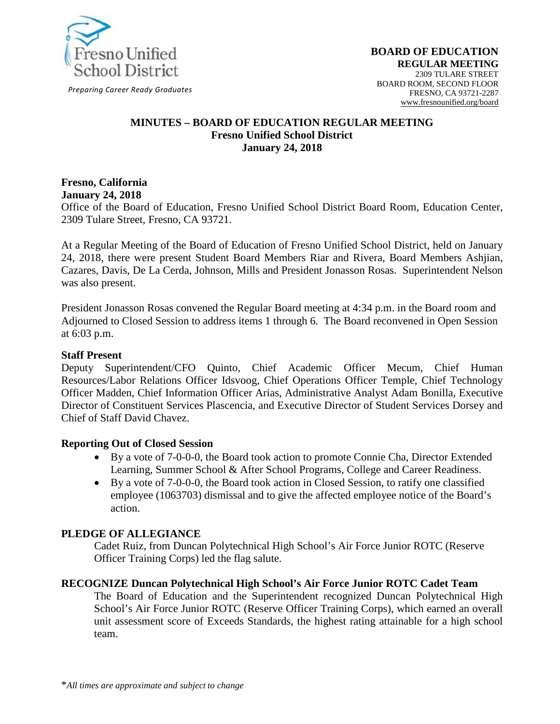

*Preparing Career Ready Graduates*

#### **MINUTES – BOARD OF EDUCATION REGULAR MEETING Fresno Unified School District January 24, 2018**

#### **Fresno, California January 24, 2018**

Office of the Board of Education, Fresno Unified School District Board Room, Education Center, 2309 Tulare Street, Fresno, CA 93721.

At a Regular Meeting of the Board of Education of Fresno Unified School District, held on January 24, 2018, there were present Student Board Members Riar and Rivera, Board Members Ashjian, Cazares, Davis, De La Cerda, Johnson, Mills and President Jonasson Rosas. Superintendent Nelson was also present.

President Jonasson Rosas convened the Regular Board meeting at 4:34 p.m. in the Board room and Adjourned to Closed Session to address items 1 through 6. The Board reconvened in Open Session at 6:03 p.m.

#### **Staff Present**

Deputy Superintendent/CFO Quinto, Chief Academic Officer Mecum, Chief Human Resources/Labor Relations Officer Idsvoog, Chief Operations Officer Temple, Chief Technology Officer Madden, Chief Information Officer Arias, Administrative Analyst Adam Bonilla, Executive Director of Constituent Services Plascencia, and Executive Director of Student Services Dorsey and Chief of Staff David Chavez.

#### **Reporting Out of Closed Session**

- By a vote of 7-0-0-0, the Board took action to promote Connie Cha, Director Extended Learning, Summer School & After School Programs, College and Career Readiness.
- By a vote of 7-0-0-0, the Board took action in Closed Session, to ratify one classified employee (1063703) dismissal and to give the affected employee notice of the Board's action.

#### **PLEDGE OF ALLEGIANCE**

Cadet Ruiz, from Duncan Polytechnical High School's Air Force Junior ROTC (Reserve Officer Training Corps) led the flag salute.

#### **RECOGNIZE Duncan Polytechnical High School's Air Force Junior ROTC Cadet Team**

The Board of Education and the Superintendent recognized Duncan Polytechnical High School's Air Force Junior ROTC (Reserve Officer Training Corps), which earned an overall unit assessment score of Exceeds Standards, the highest rating attainable for a high school team.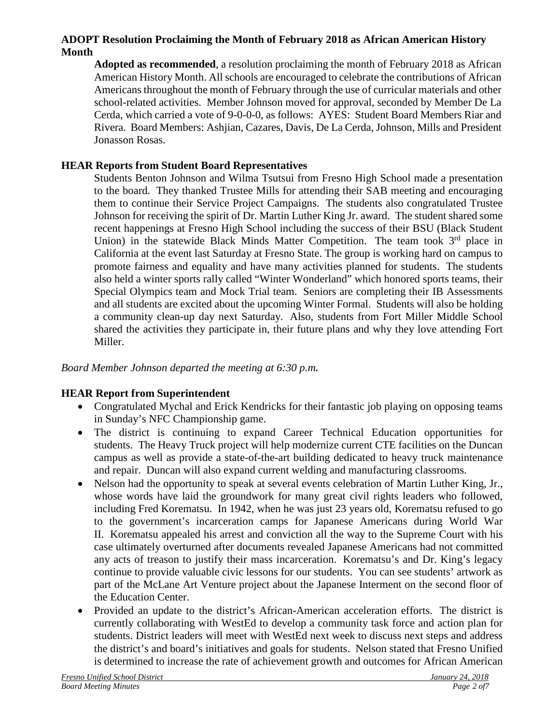## **ADOPT Resolution Proclaiming the Month of February 2018 as African American History Month**

**Adopted as recommended**, a resolution proclaiming the month of February 2018 as African American History Month. All schools are encouraged to celebrate the contributions of African Americans throughout the month of February through the use of curricular materials and other school-related activities. Member Johnson moved for approval, seconded by Member De La Cerda, which carried a vote of 9-0-0-0, as follows: AYES: Student Board Members Riar and Rivera. Board Members: Ashjian, Cazares, Davis, De La Cerda, Johnson, Mills and President Jonasson Rosas.

## **HEAR Reports from Student Board Representatives**

Students Benton Johnson and Wilma Tsutsui from Fresno High School made a presentation to the board. They thanked Trustee Mills for attending their SAB meeting and encouraging them to continue their Service Project Campaigns. The students also congratulated Trustee Johnson for receiving the spirit of Dr. Martin Luther King Jr. award. The student shared some recent happenings at Fresno High School including the success of their BSU (Black Student Union) in the statewide Black Minds Matter Competition. The team took  $3<sup>rd</sup>$  place in California at the event last Saturday at Fresno State. The group is working hard on campus to promote fairness and equality and have many activities planned for students. The students also held a winter sports rally called "Winter Wonderland" which honored sports teams, their Special Olympics team and Mock Trial team. Seniors are completing their IB Assessments and all students are excited about the upcoming Winter Formal. Students will also be holding a community clean-up day next Saturday. Also, students from Fort Miller Middle School shared the activities they participate in, their future plans and why they love attending Fort Miller.

*Board Member Johnson departed the meeting at 6:30 p.m.*

## **HEAR Report from Superintendent**

- Congratulated Mychal and Erick Kendricks for their fantastic job playing on opposing teams in Sunday's NFC Championship game.
- The district is continuing to expand Career Technical Education opportunities for students. The Heavy Truck project will help modernize current CTE facilities on the Duncan campus as well as provide a state-of-the-art building dedicated to heavy truck maintenance and repair. Duncan will also expand current welding and manufacturing classrooms.
- Nelson had the opportunity to speak at several events celebration of Martin Luther King, Jr., whose words have laid the groundwork for many great civil rights leaders who followed, including Fred Korematsu. In 1942, when he was just 23 years old, Korematsu refused to go to the government's incarceration camps for Japanese Americans during World War II. Korematsu appealed his arrest and conviction all the way to the Supreme Court with his case ultimately overturned after documents revealed Japanese Americans had not committed any acts of treason to justify their mass incarceration. Korematsu's and Dr. King's legacy continue to provide valuable civic lessons for our students. You can see students' artwork as part of the McLane Art Venture project about the Japanese Interment on the second floor of the Education Center.
- Provided an update to the district's African-American acceleration efforts. The district is currently collaborating with WestEd to develop a community task force and action plan for students. District leaders will meet with WestEd next week to discuss next steps and address the district's and board's initiatives and goals for students. Nelson stated that Fresno Unified is determined to increase the rate of achievement growth and outcomes for African American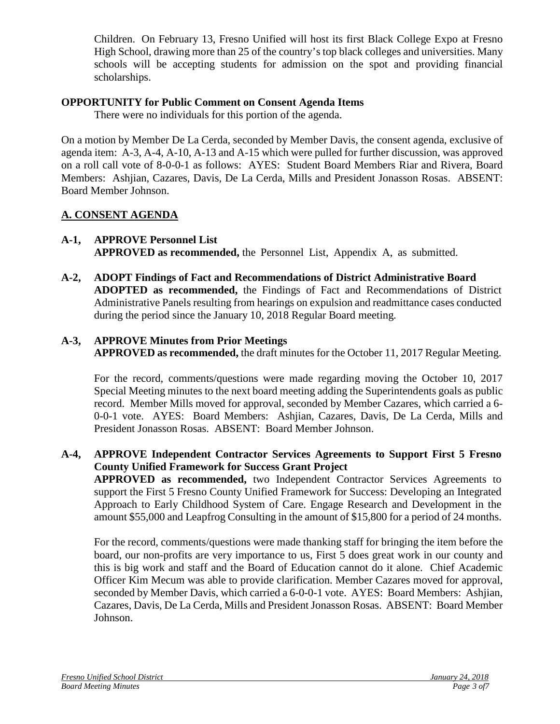Children. On February 13, Fresno Unified will host its first Black College Expo at Fresno High School, drawing more than 25 of the country's top black colleges and universities. Many schools will be accepting students for admission on the spot and providing financial scholarships.

## **OPPORTUNITY for Public Comment on Consent Agenda Items**

There were no individuals for this portion of the agenda.

On a motion by Member De La Cerda, seconded by Member Davis, the consent agenda, exclusive of agenda item: A-3, A-4, A-10, A-13 and A-15 which were pulled for further discussion, was approved on a roll call vote of 8-0-0-1 as follows: AYES: Student Board Members Riar and Rivera, Board Members: Ashjian, Cazares, Davis, De La Cerda, Mills and President Jonasson Rosas. ABSENT: Board Member Johnson.

# **A. CONSENT AGENDA**

## **A-1, APPROVE Personnel List APPROVED as recommended,** the Personnel List, Appendix A, as submitted.

**A-2, ADOPT Findings of Fact and Recommendations of District Administrative Board ADOPTED as recommended,** the Findings of Fact and Recommendations of District Administrative Panels resulting from hearings on expulsion and readmittance cases conducted during the period since the January 10, 2018 Regular Board meeting.

# **A-3, APPROVE Minutes from Prior Meetings**

**APPROVED as recommended,** the draft minutes for the October 11, 2017 Regular Meeting.

For the record, comments/questions were made regarding moving the October 10, 2017 Special Meeting minutes to the next board meeting adding the Superintendents goals as public record. Member Mills moved for approval, seconded by Member Cazares, which carried a 6- 0-0-1 vote. AYES: Board Members: Ashjian, Cazares, Davis, De La Cerda, Mills and President Jonasson Rosas. ABSENT: Board Member Johnson.

## **A-4, APPROVE Independent Contractor Services Agreements to Support First 5 Fresno County Unified Framework for Success Grant Project**

**APPROVED as recommended,** two Independent Contractor Services Agreements to support the First 5 Fresno County Unified Framework for Success: Developing an Integrated Approach to Early Childhood System of Care. Engage Research and Development in the amount \$55,000 and Leapfrog Consulting in the amount of \$15,800 for a period of 24 months.

For the record, comments/questions were made thanking staff for bringing the item before the board, our non-profits are very importance to us, First 5 does great work in our county and this is big work and staff and the Board of Education cannot do it alone. Chief Academic Officer Kim Mecum was able to provide clarification. Member Cazares moved for approval, seconded by Member Davis, which carried a 6-0-0-1 vote. AYES: Board Members: Ashjian, Cazares, Davis, De La Cerda, Mills and President Jonasson Rosas. ABSENT: Board Member Johnson.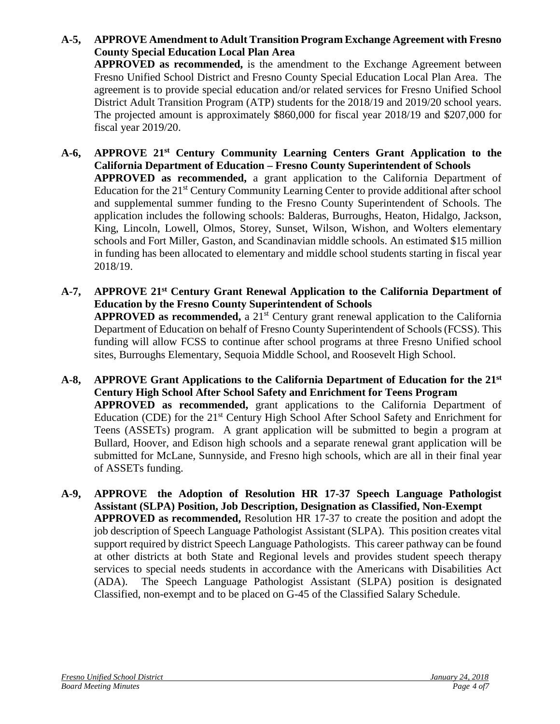- **A-5, APPROVE Amendment to Adult Transition Program Exchange Agreement with Fresno County Special Education Local Plan Area APPROVED as recommended,** is the amendment to the Exchange Agreement between Fresno Unified School District and Fresno County Special Education Local Plan Area. The agreement is to provide special education and/or related services for Fresno Unified School District Adult Transition Program (ATP) students for the 2018/19 and 2019/20 school years. The projected amount is approximately \$860,000 for fiscal year 2018/19 and \$207,000 for fiscal year 2019/20.
- **A-6, APPROVE 21st Century Community Learning Centers Grant Application to the California Department of Education – Fresno County Superintendent of Schools APPROVED as recommended,** a grant application to the California Department of Education for the 21<sup>st</sup> Century Community Learning Center to provide additional after school and supplemental summer funding to the Fresno County Superintendent of Schools. The application includes the following schools: Balderas, Burroughs, Heaton, Hidalgo, Jackson, King, Lincoln, Lowell, Olmos, Storey, Sunset, Wilson, Wishon, and Wolters elementary schools and Fort Miller, Gaston, and Scandinavian middle schools. An estimated \$15 million in funding has been allocated to elementary and middle school students starting in fiscal year 2018/19.
- **A-7, APPROVE 21st Century Grant Renewal Application to the California Department of Education by the Fresno County Superintendent of Schools APPROVED** as recommended, a 21<sup>st</sup> Century grant renewal application to the California Department of Education on behalf of Fresno County Superintendent of Schools (FCSS). This funding will allow FCSS to continue after school programs at three Fresno Unified school sites, Burroughs Elementary, Sequoia Middle School, and Roosevelt High School.
- **A-8, APPROVE Grant Applications to the California Department of Education for the 21st Century High School After School Safety and Enrichment for Teens Program APPROVED as recommended,** grant applications to the California Department of Education (CDE) for the 21<sup>st</sup> Century High School After School Safety and Enrichment for Teens (ASSETs) program. A grant application will be submitted to begin a program at Bullard, Hoover, and Edison high schools and a separate renewal grant application will be submitted for McLane, Sunnyside, and Fresno high schools, which are all in their final year of ASSETs funding.
- **A-9, APPROVE the Adoption of Resolution HR 17-37 Speech Language Pathologist Assistant (SLPA) Position, Job Description, Designation as Classified, Non-Exempt APPROVED as recommended,** Resolution HR 17-37 to create the position and adopt the job description of Speech Language Pathologist Assistant (SLPA). This position creates vital support required by district Speech Language Pathologists. This career pathway can be found at other districts at both State and Regional levels and provides student speech therapy services to special needs students in accordance with the Americans with Disabilities Act (ADA). The Speech Language Pathologist Assistant (SLPA) position is designated Classified, non-exempt and to be placed on G-45 of the Classified Salary Schedule.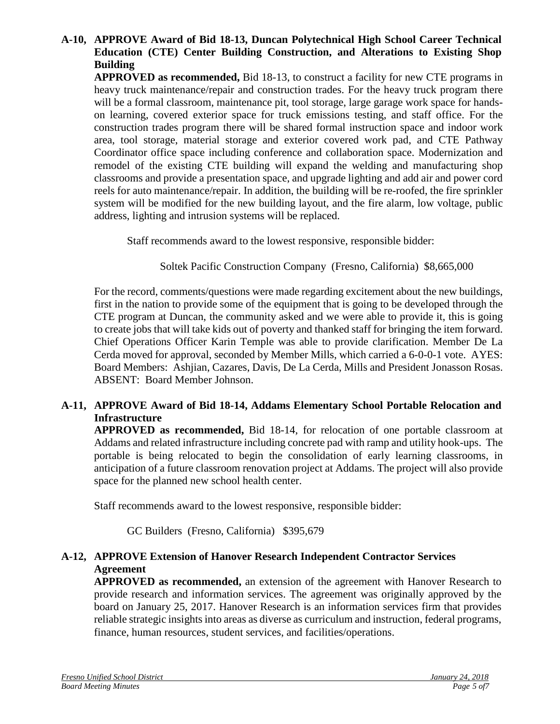#### **A-10, APPROVE Award of Bid 18-13, Duncan Polytechnical High School Career Technical Education (CTE) Center Building Construction, and Alterations to Existing Shop Building**

**APPROVED as recommended,** Bid 18-13, to construct a facility for new CTE programs in heavy truck maintenance/repair and construction trades. For the heavy truck program there will be a formal classroom, maintenance pit, tool storage, large garage work space for handson learning, covered exterior space for truck emissions testing, and staff office. For the construction trades program there will be shared formal instruction space and indoor work area, tool storage, material storage and exterior covered work pad, and CTE Pathway Coordinator office space including conference and collaboration space. Modernization and remodel of the existing CTE building will expand the welding and manufacturing shop classrooms and provide a presentation space, and upgrade lighting and add air and power cord reels for auto maintenance/repair. In addition, the building will be re-roofed, the fire sprinkler system will be modified for the new building layout, and the fire alarm, low voltage, public address, lighting and intrusion systems will be replaced.

Staff recommends award to the lowest responsive, responsible bidder:

Soltek Pacific Construction Company (Fresno, California) \$8,665,000

For the record, comments/questions were made regarding excitement about the new buildings, first in the nation to provide some of the equipment that is going to be developed through the CTE program at Duncan, the community asked and we were able to provide it, this is going to create jobs that will take kids out of poverty and thanked staff for bringing the item forward. Chief Operations Officer Karin Temple was able to provide clarification. Member De La Cerda moved for approval, seconded by Member Mills, which carried a 6-0-0-1 vote. AYES: Board Members: Ashjian, Cazares, Davis, De La Cerda, Mills and President Jonasson Rosas. ABSENT: Board Member Johnson.

### **A-11, APPROVE Award of Bid 18-14, Addams Elementary School Portable Relocation and Infrastructure**

**APPROVED as recommended,** Bid 18-14, for relocation of one portable classroom at Addams and related infrastructure including concrete pad with ramp and utility hook-ups. The portable is being relocated to begin the consolidation of early learning classrooms, in anticipation of a future classroom renovation project at Addams. The project will also provide space for the planned new school health center.

Staff recommends award to the lowest responsive, responsible bidder:

GC Builders (Fresno, California) \$395,679

### **A-12, APPROVE Extension of Hanover Research Independent Contractor Services Agreement**

**APPROVED as recommended,** an extension of the agreement with Hanover Research to provide research and information services. The agreement was originally approved by the board on January 25, 2017. Hanover Research is an information services firm that provides reliable strategic insights into areas as diverse as curriculum and instruction, federal programs, finance, human resources, student services, and facilities/operations.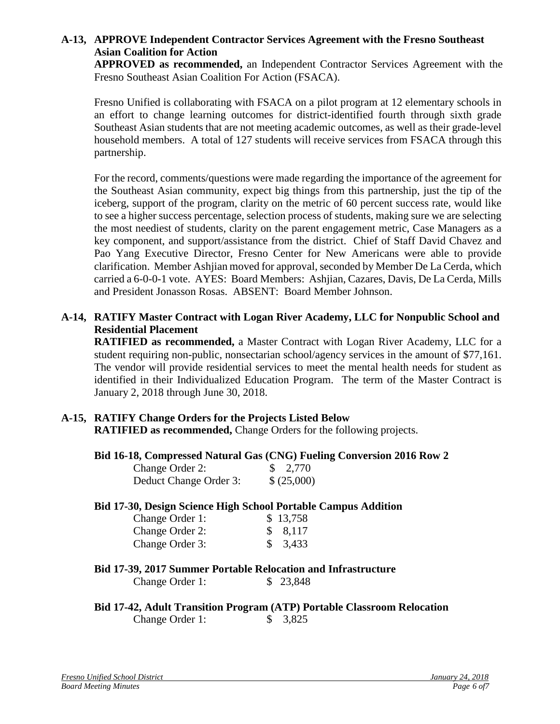### **A-13, APPROVE Independent Contractor Services Agreement with the Fresno Southeast Asian Coalition for Action**

**APPROVED as recommended,** an Independent Contractor Services Agreement with the Fresno Southeast Asian Coalition For Action (FSACA).

Fresno Unified is collaborating with FSACA on a pilot program at 12 elementary schools in an effort to change learning outcomes for district-identified fourth through sixth grade Southeast Asian students that are not meeting academic outcomes, as well as their grade-level household members. A total of 127 students will receive services from FSACA through this partnership.

For the record, comments/questions were made regarding the importance of the agreement for the Southeast Asian community, expect big things from this partnership, just the tip of the iceberg, support of the program, clarity on the metric of 60 percent success rate, would like to see a higher success percentage, selection process of students, making sure we are selecting the most neediest of students, clarity on the parent engagement metric, Case Managers as a key component, and support/assistance from the district. Chief of Staff David Chavez and Pao Yang Executive Director, Fresno Center for New Americans were able to provide clarification. Member Ashjian moved for approval, seconded by Member De La Cerda, which carried a 6-0-0-1 vote. AYES: Board Members: Ashjian, Cazares, Davis, De La Cerda, Mills and President Jonasson Rosas. ABSENT: Board Member Johnson.

### **A-14, RATIFY Master Contract with Logan River Academy, LLC for Nonpublic School and Residential Placement**

**RATIFIED as recommended,** a Master Contract with Logan River Academy, LLC for a student requiring non-public, nonsectarian school/agency services in the amount of \$77,161. The vendor will provide residential services to meet the mental health needs for student as identified in their Individualized Education Program. The term of the Master Contract is January 2, 2018 through June 30, 2018.

#### **A-15, RATIFY Change Orders for the Projects Listed Below RATIFIED as recommended,** Change Orders for the following projects.

#### **Bid 16-18, Compressed Natural Gas (CNG) Fueling Conversion 2016 Row 2**

| Change Order 2:        | $\frac{$}{2,770}$ |
|------------------------|-------------------|
| Deduct Change Order 3: | \$(25,000)        |

#### **Bid 17-30, Design Science High School Portable Campus Addition**

| Change Order 1: | \$13,758 |
|-----------------|----------|
| Change Order 2: | \$8,117  |
| Change Order 3: | \$3,433  |

### **Bid 17-39, 2017 Summer Portable Relocation and Infrastructure**

Change Order 1: \$ 23,848

#### **Bid 17-42, Adult Transition Program (ATP) Portable Classroom Relocation**  Change Order 1: \$ 3,825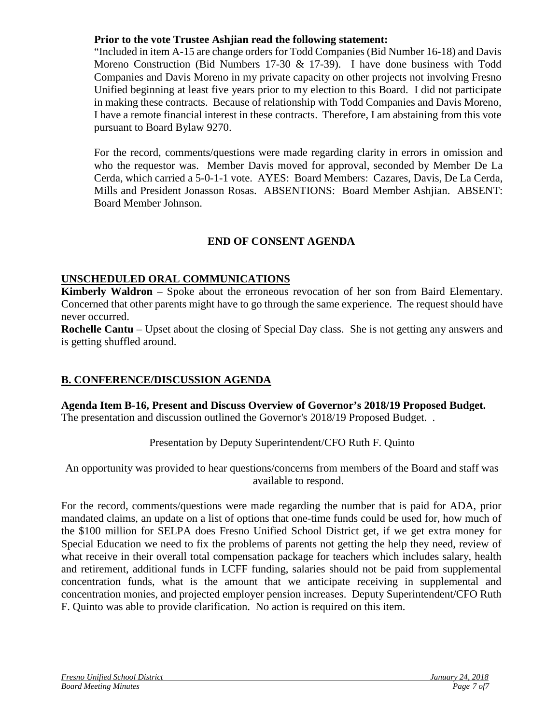#### **Prior to the vote Trustee Ashjian read the following statement:**

"Included in item A-15 are change orders for Todd Companies (Bid Number 16-18) and Davis Moreno Construction (Bid Numbers 17-30 & 17-39). I have done business with Todd Companies and Davis Moreno in my private capacity on other projects not involving Fresno Unified beginning at least five years prior to my election to this Board. I did not participate in making these contracts. Because of relationship with Todd Companies and Davis Moreno, I have a remote financial interest in these contracts. Therefore, I am abstaining from this vote pursuant to Board Bylaw 9270.

For the record, comments/questions were made regarding clarity in errors in omission and who the requestor was. Member Davis moved for approval, seconded by Member De La Cerda, which carried a 5-0-1-1 vote. AYES: Board Members: Cazares, Davis, De La Cerda, Mills and President Jonasson Rosas. ABSENTIONS: Board Member Ashjian. ABSENT: Board Member Johnson.

# **END OF CONSENT AGENDA**

### **UNSCHEDULED ORAL COMMUNICATIONS**

**Kimberly Waldron** – Spoke about the erroneous revocation of her son from Baird Elementary. Concerned that other parents might have to go through the same experience. The request should have never occurred.

**Rochelle Cantu** – Upset about the closing of Special Day class. She is not getting any answers and is getting shuffled around.

## **B. CONFERENCE/DISCUSSION AGENDA**

#### **Agenda Item B-16, Present and Discuss Overview of Governor's 2018/19 Proposed Budget.**  The presentation and discussion outlined the Governor's 2018/19 Proposed Budget. .

Presentation by Deputy Superintendent/CFO Ruth F. Quinto

An opportunity was provided to hear questions/concerns from members of the Board and staff was available to respond.

For the record, comments/questions were made regarding the number that is paid for ADA, prior mandated claims, an update on a list of options that one-time funds could be used for, how much of the \$100 million for SELPA does Fresno Unified School District get, if we get extra money for Special Education we need to fix the problems of parents not getting the help they need, review of what receive in their overall total compensation package for teachers which includes salary, health and retirement, additional funds in LCFF funding, salaries should not be paid from supplemental concentration funds, what is the amount that we anticipate receiving in supplemental and concentration monies, and projected employer pension increases. Deputy Superintendent/CFO Ruth F. Quinto was able to provide clarification. No action is required on this item.